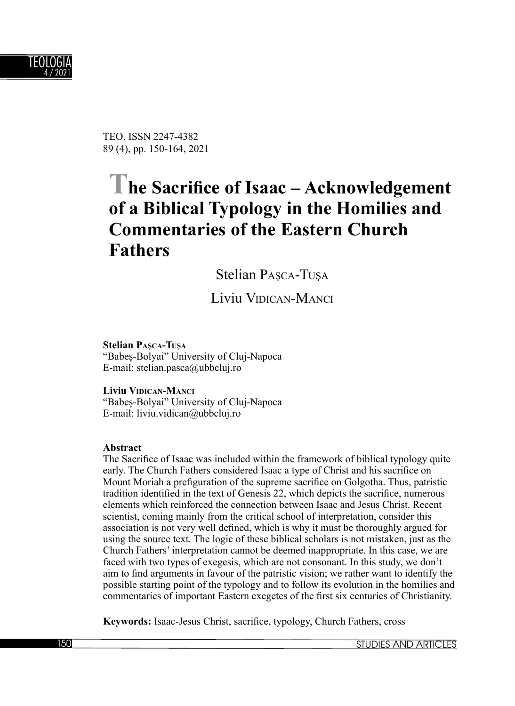

TEO, ISSN 2247-4382 89 (4), pp. 150-164, 2021

# The Sacrifice of Isaac – Acknowledgement **of a Biblical Typology in the Homilies and Commentaries of the Eastern Church Fathers**

Stelian PASCA-TUSA

Liviu VIDICAN-MANCI

**Stelian PAŞCA-TUŞ<sup>A</sup>** "Babeș-Bolyai" University of Cluj-Napoca E-mail: stelian.pasca@ubbcluj.ro

**Liviu VIDICAN-MANCI** "Babeș-Bolyai" University of Cluj-Napoca E-mail: liviu.vidican@ubbcluj.ro

#### **Abstract**

The Sacrifice of Isaac was included within the framework of biblical typology quite early. The Church Fathers considered Isaac a type of Christ and his sacrifice on Mount Moriah a prefiguration of the supreme sacrifice on Golgotha. Thus, patristic tradition identified in the text of Genesis 22, which depicts the sacrifice, numerous elements which reinforced the connection between Isaac and Jesus Christ. Recent scientist, coming mainly from the critical school of interpretation, consider this association is not very well defined, which is why it must be thoroughly argued for using the source text. The logic of these biblical scholars is not mistaken, just as the Church Fathers' interpretation cannot be deemed inappropriate. In this case, we are faced with two types of exegesis, which are not consonant. In this study, we don't aim to find arguments in favour of the patristic vision; we rather want to identify the possible starting point of the typology and to follow its evolution in the homilies and commentaries of important Eastern exegetes of the first six centuries of Christianity.

**Keywords:** Isaac-Jesus Christ, sacrifice, typology, Church Fathers, cross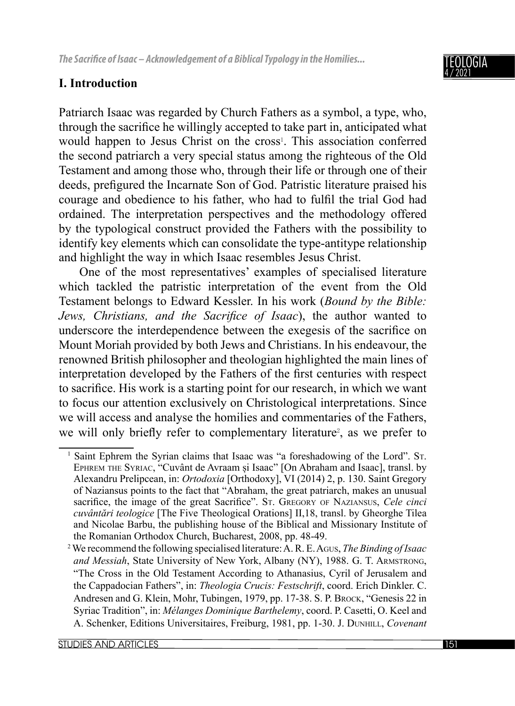## **I. Introduction**

Patriarch Isaac was regarded by Church Fathers as a symbol, a type, who, through the sacrifice he willingly accepted to take part in, anticipated what would happen to Jesus Christ on the cross<sup>1</sup>. This association conferred the second patriarch a very special status among the righteous of the Old Testament and among those who, through their life or through one of their deeds, prefigured the Incarnate Son of God. Patristic literature praised his courage and obedience to his father, who had to fulfil the trial God had ordained. The interpretation perspectives and the methodology offered by the typological construct provided the Fathers with the possibility to identify key elements which can consolidate the type-antitype relationship and highlight the way in which Isaac resembles Jesus Christ.

One of the most representatives' examples of specialised literature which tackled the patristic interpretation of the event from the Old Testament belongs to Edward Kessler. In his work (*Bound by the Bible: Jews, Christians, and the Sacrifice of Isaac*), the author wanted to underscore the interdependence between the exegesis of the sacrifice on Mount Moriah provided by both Jews and Christians. In his endeavour, the renowned British philosopher and theologian highlighted the main lines of interpretation developed by the Fathers of the first centuries with respect to sacrifice. His work is a starting point for our research, in which we want to focus our attention exclusively on Christological interpretations. Since we will access and analyse the homilies and commentaries of the Fathers, we will only briefly refer to complementary literature<sup>2</sup>, as we prefer to

<sup>&</sup>lt;sup>1</sup> Saint Ephrem the Syrian claims that Isaac was "a foreshadowing of the Lord". St. EPHREM THE SYRIAC, "Cuvânt de Avraam și Isaac" [On Abraham and Isaac], transl. by Alexandru Prelipcean, in: *Ortodoxia* [Orthodoxy], VI (2014) 2, p. 130. Saint Gregory of Naziansus points to the fact that "Abraham, the great patriarch, makes an unusual sacrifice, the image of the great Sacrifice". St. GREGORY OF NAZIANSUS, *Cele cinci cuvântări teologice* [The Five Theological Orations] II,18, transl. by Gheorghe Tilea and Nicolae Barbu, the publishing house of the Biblical and Missionary Institute of the Romanian Orthodox Church, Bucharest, 2008, pp. 48-49.

<sup>2</sup> We recommend the following specialised literature: A. R. E. AGUS, *The Binding of Isaac and Messiah*, State University of New York, Albany (NY), 1988. G. T. ARMSTRONG, "The Cross in the Old Testament According to Athanasius, Cyril of Jerusalem and the Cappadocian Fathers", in: *Theologia Crucis: Festschrift*, coord. Erich Dinkler. C. Andresen and G. Klein, Mohr, Tubingen, 1979, pp. 17-38. S. P. Brock, "Genesis 22 in Syriac Tradition", in: *Mélanges Dominique Barthelemy*, coord. P. Casetti, O. Keel and A. Schenker, Editions Universitaires, Freiburg, 1981, pp. 1-30. J. DUNHILL, *Covenant*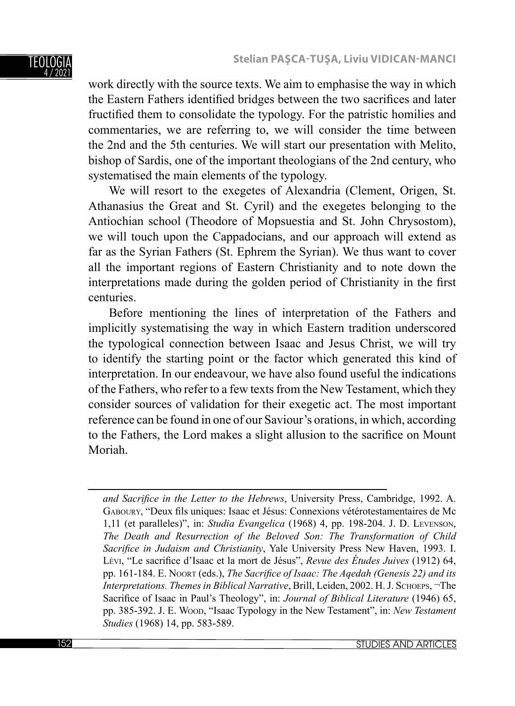#### TEOLOGIA 4 / 2021

work directly with the source texts. We aim to emphasise the way in which the Eastern Fathers identified bridges between the two sacrifices and later fructified them to consolidate the typology. For the patristic homilies and commentaries, we are referring to, we will consider the time between the 2nd and the 5th centuries. We will start our presentation with Melito, bishop of Sardis, one of the important theologians of the 2nd century, who systematised the main elements of the typology.

We will resort to the exegetes of Alexandria (Clement, Origen, St. Athanasius the Great and St. Cyril) and the exegetes belonging to the Antiochian school (Theodore of Mopsuestia and St. John Chrysostom), we will touch upon the Cappadocians, and our approach will extend as far as the Syrian Fathers (St. Ephrem the Syrian). We thus want to cover all the important regions of Eastern Christianity and to note down the interpretations made during the golden period of Christianity in the first centuries.

Before mentioning the lines of interpretation of the Fathers and implicitly systematising the way in which Eastern tradition underscored the typological connection between Isaac and Jesus Christ, we will try to identify the starting point or the factor which generated this kind of interpretation. In our endeavour, we have also found useful the indications of the Fathers, who refer to a few texts from the New Testament, which they consider sources of validation for their exegetic act. The most important reference can be found in one of our Saviour's orations, in which, according to the Fathers, the Lord makes a slight allusion to the sacrifice on Mount Moriah.

*and Sacrifice in the Letter to the Hebrews*, University Press, Cambridge, 1992. A. GABOURY, "Deux fils uniques: Isaac et Jésus: Connexions vétérotestamentaires de Mc 1,11 (et paralleles)", in: *Studia Evangelica* (1968) 4, pp. 198-204. J. D. LEVENSON, *The Death and Resurrection of the Beloved Son: The Transformation of Child*  Sacrifice in Judaism and Christianity, Yale University Press New Haven, 1993. I. Lévi, "Le sacrifice d'Isaac et la mort de Jésus", *Revue des Études Juives* (1912) 64, pp. 161-184. E. Noort (eds.), *The Sacrifice of Isaac: The Aqedah (Genesis 22) and its Interpretations. Themes in Biblical Narrative*, Brill, Leiden, 2002. H. J. SCHOEPS, ¬The Sacrifice of Isaac in Paul's Theology", in: *Journal of Biblical Literature* (1946) 65, pp. 385-392. J. E. WOOD, "Isaac Typology in the New Testament", in: *New Testament Studies* (1968) 14, pp. 583-589.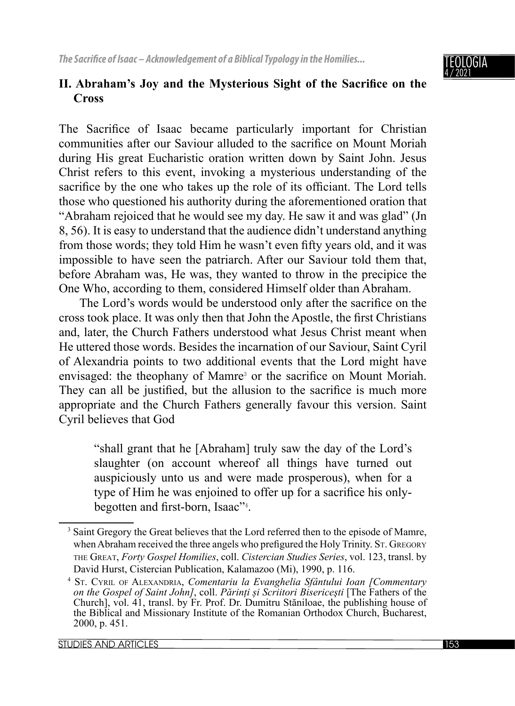

## II. Abraham's Joy and the Mysterious Sight of the Sacrifice on the **Cross**

The Sacrifice of Isaac became particularly important for Christian communities after our Saviour alluded to the sacrifice on Mount Moriah during His great Eucharistic oration written down by Saint John. Jesus Christ refers to this event, invoking a mysterious understanding of the sacrifice by the one who takes up the role of its officiant. The Lord tells those who questioned his authority during the aforementioned oration that "Abraham rejoiced that he would see my day. He saw it and was glad" (Jn 8, 56). It is easy to understand that the audience didn't understand anything from those words; they told Him he wasn't even fifty years old, and it was impossible to have seen the patriarch. After our Saviour told them that, before Abraham was, He was, they wanted to throw in the precipice the One Who, according to them, considered Himself older than Abraham.

The Lord's words would be understood only after the sacrifice on the cross took place. It was only then that John the Apostle, the first Christians and, later, the Church Fathers understood what Jesus Christ meant when He uttered those words. Besides the incarnation of our Saviour, Saint Cyril of Alexandria points to two additional events that the Lord might have envisaged: the theophany of Mamre<sup>3</sup> or the sacrifice on Mount Moriah. They can all be justified, but the allusion to the sacrifice is much more appropriate and the Church Fathers generally favour this version. Saint Cyril believes that God

"shall grant that he [Abraham] truly saw the day of the Lord's slaughter (on account whereof all things have turned out auspiciously unto us and were made prosperous), when for a type of Him he was enjoined to offer up for a sacrifice his onlybegotten and first-born, Isaac"<sup>4</sup>.

<sup>&</sup>lt;sup>3</sup> Saint Gregory the Great believes that the Lord referred then to the episode of Mamre, when Abraham received the three angels who prefigured the Holy Trinity. St. GREGORY THE GREAT, *Forty Gospel Homilies*, coll. *Cistercian Studies Series*, vol. 123, transl. by David Hurst, Cistercian Publication, Kalamazoo (Mi), 1990, p. 116.

<sup>4</sup> ST. CYRIL OF ALEXANDRIA, *Comentariu la Evanghelia Sfântului Ioan [Commentary on the Gospel of Saint John]*, coll. *Părinți și Scriitori Bisericeşti* [The Fathers of the Church], vol. 41, transl. by Fr. Prof. Dr. Dumitru Stăniloae, the publishing house of the Biblical and Missionary Institute of the Romanian Orthodox Church, Bucharest, 2000, p. 451.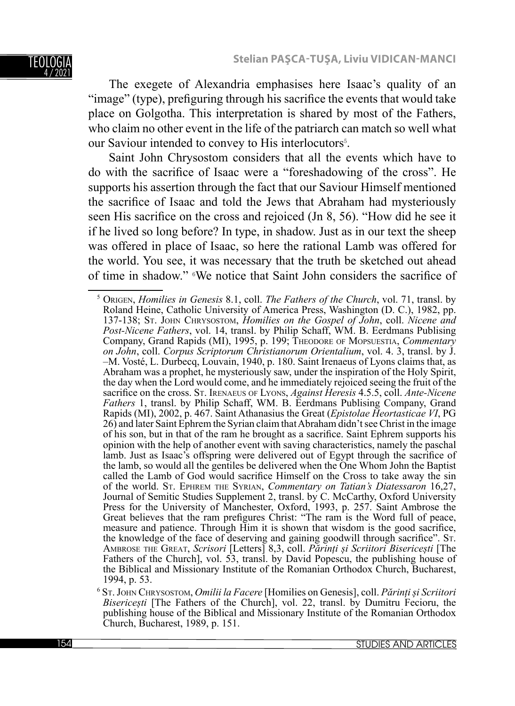### TEOLOGI 4 / 2021

The exegete of Alexandria emphasises here Isaac's quality of an "image" (type), prefiguring through his sacrifice the events that would take place on Golgotha. This interpretation is shared by most of the Fathers, who claim no other event in the life of the patriarch can match so well what our Saviour intended to convey to His interlocutors<sup>5</sup>.

Saint John Chrysostom considers that all the events which have to do with the sacrifice of Isaac were a "foreshadowing of the cross". He supports his assertion through the fact that our Saviour Himself mentioned the sacrifice of Isaac and told the Jews that Abraham had mysteriously seen His sacrifice on the cross and rejoiced (Jn 8, 56). "How did he see it if he lived so long before? In type, in shadow. Just as in our text the sheep was offered in place of Isaac, so here the rational Lamb was offered for the world. You see, it was necessary that the truth be sketched out ahead of time in shadow." <sup>6</sup>We notice that Saint John considers the sacrifice of

<sup>5</sup> ORIGEN, *Homilies in Genesis* 8.1, coll. *The Fathers of the Church*, vol. 71, transl. by Roland Heine, Catholic University of America Press, Washington (D. C.), 1982, pp. 137-138; ST. JOHN CHRYSOSTOM, *Homilies on the Gospel of John*, coll. *Nicene and Post-Nicene Fathers*, vol. 14, transl. by Philip Schaff, WM. B. Eerdmans Publising Company, Grand Rapids (MI), 1995, p. 199; THEODORE OF MOPSUESTIA, *Commentary on John*, coll. *Corpus Scriptorum Christianorum Orientalium*, vol. 4. 3, transl. by J. –M. Vosté, L. Durbecq, Louvain, 1940, p. 180. Saint Irenaeus of Lyons claims that, as Abraham was a prophet, he mysteriously saw, under the inspiration of the Holy Spirit, the day when the Lord would come, and he immediately rejoiced seeing the fruit of the sacrifice on the cross. St. IRENAEUS OF LYONS, *Against Heresis* 4.5.5, coll. *Ante-Nicene Fathers* 1, transl. by Philip Schaff, WM. B. Eerdmans Publising Company, Grand Rapids (MI), 2002, p. 467. Saint Athanasius the Great (*Epistolae Heortasticae VI*, PG 26) and later Saint Ephrem the Syrian claim that Abraham didn't see Christ in the image of his son, but in that of the ram he brought as a sacrifice. Saint Ephrem supports his opinion with the help of another event with saving characteristics, namely the paschal lamb. Just as Isaac's offspring were delivered out of Egypt through the sacrifice of the lamb, so would all the gentiles be delivered when the One Whom John the Baptist called the Lamb of God would sacrifice Himself on the Cross to take away the sin of the world. ST. EPHREM THE SYRIAN, *Commentary on Tatian's Diatessaron* 16,27, Journal of Semitic Studies Supplement 2, transl. by C. McCarthy, Oxford University Press for the University of Manchester, Oxford, 1993, p. 257. Saint Ambrose the Great believes that the ram prefigures Christ: "The ram is the Word full of peace, measure and patience. Through Him it is shown that wisdom is the good sacrifice, the knowledge of the face of deserving and gaining goodwill through sacrifice". Sr. AMBROSE THE GREAT, Scrisori [Letters] 8,3, coll. Părinți și Scriitori Bisericești [The Fathers of the Church], vol. 53, transl. by David Popescu, the publishing house of the Biblical and Missionary Institute of the Romanian Orthodox Church, Bucharest, 1994, p. 53.

<sup>6</sup> ST. JOHN CHRYSOSTOM, *Omilii la Facere* [Homilies on Genesis], coll. *Părinți și Scriitori Bisericești* [The Fathers of the Church], vol. 22, transl. by Dumitru Fecioru, the publishing house of the Biblical and Missionary Institute of the Romanian Orthodox Church, Bucharest, 1989, p. 151.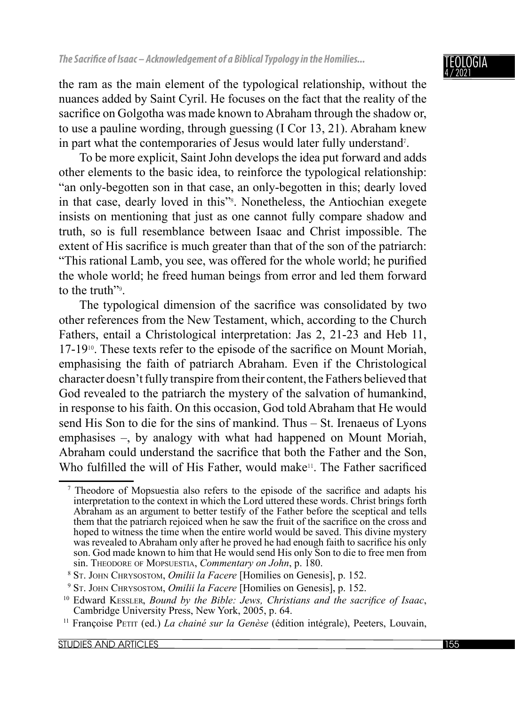the ram as the main element of the typological relationship, without the nuances added by Saint Cyril. He focuses on the fact that the reality of the sacrifice on Golgotha was made known to Abraham through the shadow or, to use a pauline wording, through guessing (I Cor 13, 21). Abraham knew in part what the contemporaries of Jesus would later fully understand<sup>7</sup>.

To be more explicit, Saint John develops the idea put forward and adds other elements to the basic idea, to reinforce the typological relationship: "an only-begotten son in that case, an only-begotten in this; dearly loved in that case, dearly loved in this"<sup>8</sup> . Nonetheless, the Antiochian exegete insists on mentioning that just as one cannot fully compare shadow and truth, so is full resemblance between Isaac and Christ impossible. The extent of His sacrifice is much greater than that of the son of the patriarch: "This rational Lamb, you see, was offered for the whole world; he purified the whole world; he freed human beings from error and led them forward to the truth<sup>"9</sup>.

The typological dimension of the sacrifice was consolidated by two other references from the New Testament, which, according to the Church Fathers, entail a Christological interpretation: Jas 2, 21-23 and Heb 11,  $17-19$ <sup>10</sup>. These texts refer to the episode of the sacrifice on Mount Moriah, emphasising the faith of patriarch Abraham. Even if the Christological character doesn't fully transpire from their content, the Fathers believed that God revealed to the patriarch the mystery of the salvation of humankind, in response to his faith. On this occasion, God told Abraham that He would send His Son to die for the sins of mankind. Thus – St. Irenaeus of Lyons emphasises –, by analogy with what had happened on Mount Moriah, Abraham could understand the sacrifice that both the Father and the Son. Who fulfilled the will of His Father, would make<sup>11</sup>. The Father sacrificed

 $<sup>7</sup>$  Theodore of Mopsuestia also refers to the episode of the sacrifice and adapts his</sup> interpretation to the context in which the Lord uttered these words. Christ brings forth Abraham as an argument to better testify of the Father before the sceptical and tells them that the patriarch rejoiced when he saw the fruit of the sacrifice on the cross and hoped to witness the time when the entire world would be saved. This divine mystery was revealed to Abraham only after he proved he had enough faith to sacrifice his only son. God made known to him that He would send His only Son to die to free men from sin. THEODORE OF MOPSUESTIA, *Commentary on John*, p. 180. 8

<sup>&</sup>lt;sup>8</sup> St. JOHN CHRYSOSTOM, *Omilii la Facere* [Homilies on Genesis], p. 152.<br><sup>9</sup> St. JOHN CHRYSOSTOM, *Omilii la Facere* [Homilies on Genesis], p. 152.

<sup>&</sup>lt;sup>10</sup> Edward KESSLER, *Bound by the Bible: Jews, Christians and the sacrifice of Isaac,* Cambridge University Press, New York, 2005, p. 64.<br><sup>11</sup> Francoise PETIT (ed.) *La chainé sur la Genèse* (édition intégrale), Peeters,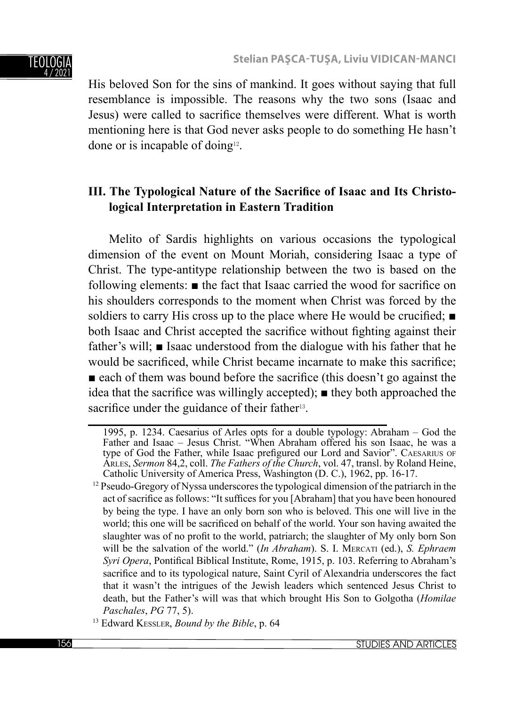

His beloved Son for the sins of mankind. It goes without saying that full resemblance is impossible. The reasons why the two sons (Isaac and Jesus) were called to sacrifice themselves were different. What is worth mentioning here is that God never asks people to do something He hasn't done or is incapable of doing<sup>12</sup>.

## **III.** The Typological Nature of the Sacrifice of Isaac and Its Christo**logical Interpretation in Eastern Tradition**

Melito of Sardis highlights on various occasions the typological dimension of the event on Mount Moriah, considering Isaac a type of Christ. The type-antitype relationship between the two is based on the following elements:  $\blacksquare$  the fact that Isaac carried the wood for sacrifice on his shoulders corresponds to the moment when Christ was forced by the soldiers to carry His cross up to the place where He would be crucified;  $\blacksquare$ both Isaac and Christ accepted the sacrifice without fighting against their father's will; ■ Isaac understood from the dialogue with his father that he would be sacrificed, while Christ became incarnate to make this sacrifice;  $\blacksquare$  each of them was bound before the sacrifice (this doesn't go against the idea that the sacrifice was willingly accepted);  $\blacksquare$  they both approached the sacrifice under the guidance of their father<sup>13</sup>.

<sup>1995,</sup> p. 1234. Caesarius of Arles opts for a double typology: Abraham – God the Father and Isaac – Jesus Christ. "When Abraham offered his son Isaac, he was a type of God the Father, while Isaac prefigured our Lord and Savior". CAESARIUS OF ARLES, *Sermon* 84,2, coll. *The Fathers of the Church*, vol. 47, transl. by Roland Heine,

<sup>&</sup>lt;sup>12</sup> Pseudo-Gregory of Nyssa underscores the typological dimension of the patriarch in the act of sacrifice as follows: "It suffices for you [Abraham] that you have been honoured by being the type. I have an only born son who is beloved. This one will live in the world; this one will be sacrificed on behalf of the world. Your son having awaited the slaughter was of no profit to the world, patriarch; the slaughter of My only born Son will be the salvation of the world." (*In Abraham*). S. I. MERCATI (ed.), *S. Ephraem Syri Opera*, Pontifical Biblical Institute, Rome, 1915, p. 103. Referring to Abraham's sacrifice and to its typological nature, Saint Cyril of Alexandria underscores the fact that it wasn't the intrigues of the Jewish leaders which sentenced Jesus Christ to death, but the Father's will was that which brought His Son to Golgotha (*Homilae Paschales*, *PG* 77, 5). 13 Edward KESSLER, *Bound by the Bible*, p. 64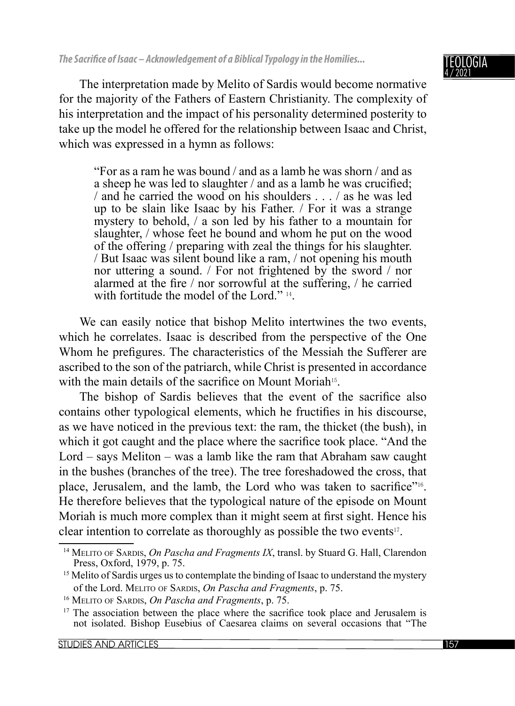The interpretation made by Melito of Sardis would become normative for the majority of the Fathers of Eastern Christianity. The complexity of his interpretation and the impact of his personality determined posterity to take up the model he offered for the relationship between Isaac and Christ, which was expressed in a hymn as follows:

"For as a ram he was bound / and as a lamb he was shorn / and as a sheep he was led to slaughter / and as a lamb he was crucified: / and he carried the wood on his shoulders . . . / as he was led up to be slain like Isaac by his Father. / For it was a strange mystery to behold, / a son led by his father to a mountain for slaughter, / whose feet he bound and whom he put on the wood of the offering / preparing with zeal the things for his slaughter. / But Isaac was silent bound like a ram, / not opening his mouth nor uttering a sound. / For not frightened by the sword / nor alarmed at the fire  $/$  nor sorrowful at the suffering,  $/$  he carried with fortitude the model of the Lord."  $14$ .

We can easily notice that bishop Melito intertwines the two events, which he correlates. Isaac is described from the perspective of the One Whom he prefigures. The characteristics of the Messiah the Sufferer are ascribed to the son of the patriarch, while Christ is presented in accordance with the main details of the sacrifice on Mount Moriah<sup>15</sup>.

The bishop of Sardis believes that the event of the sacrifice also contains other typological elements, which he fructifies in his discourse, as we have noticed in the previous text: the ram, the thicket (the bush), in which it got caught and the place where the sacrifice took place. "And the Lord – says Meliton – was a lamb like the ram that Abraham saw caught in the bushes (branches of the tree). The tree foreshadowed the cross, that place, Jerusalem, and the lamb, the Lord who was taken to sacrifice"<sup>16</sup>. He therefore believes that the typological nature of the episode on Mount Moriah is much more complex than it might seem at first sight. Hence his clear intention to correlate as thoroughly as possible the two events<sup>17</sup>.

<sup>&</sup>lt;sup>14</sup> MELITO OF SARDIS, *On Pascha and Fragments IX*, transl. by Stuard G. Hall, Clarendon Press, Oxford, 1979, p. 75.

<sup>&</sup>lt;sup>15</sup> Melito of Sardis urges us to contemplate the binding of Isaac to understand the mystery

of the Lord. MELITO OF SARDIS, *On Pascha and Fragments*, p. 75.<br><sup>16</sup> MELITO OF SARDIS, *On Pascha and Fragments*, p. 75.<br><sup>17</sup> The association between the place where the sacrifice took place and Jerusalem is not isolated. Bishop Eusebius of Caesarea claims on several occasions that "The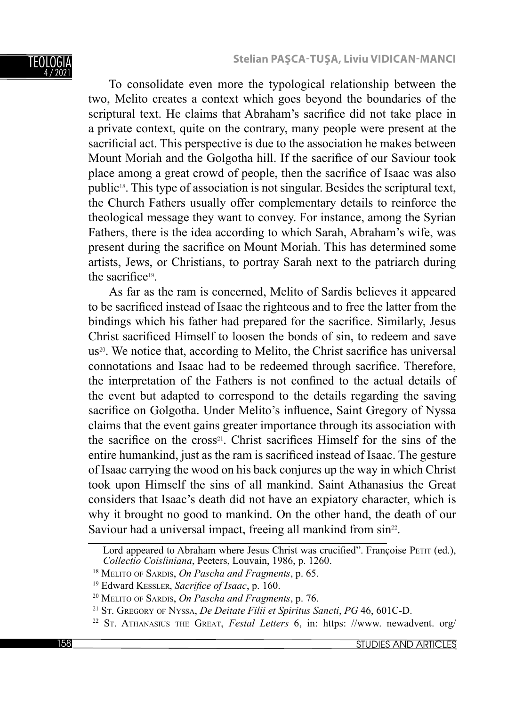

To consolidate even more the typological relationship between the two, Melito creates a context which goes beyond the boundaries of the scriptural text. He claims that Abraham's sacrifice did not take place in a private context, quite on the contrary, many people were present at the sacrificial act. This perspective is due to the association he makes between Mount Moriah and the Golgotha hill. If the sacrifice of our Saviour took place among a great crowd of people, then the sacrifice of Isaac was also public18. This type of association is not singular. Besides the scriptural text, the Church Fathers usually offer complementary details to reinforce the theological message they want to convey. For instance, among the Syrian Fathers, there is the idea according to which Sarah, Abraham's wife, was present during the sacrifice on Mount Moriah. This has determined some artists, Jews, or Christians, to portray Sarah next to the patriarch during the sacrifice $19$ .

As far as the ram is concerned, Melito of Sardis believes it appeared to be sacrificed instead of Isaac the righteous and to free the latter from the bindings which his father had prepared for the sacrifice. Similarly, Jesus Christ sacrificed Himself to loosen the bonds of sin, to redeem and save us<sup>20</sup>. We notice that, according to Melito, the Christ sacrifice has universal connotations and Isaac had to be redeemed through sacrifice. Therefore, the interpretation of the Fathers is not confined to the actual details of the event but adapted to correspond to the details regarding the saving sacrifice on Golgotha. Under Melito's influence, Saint Gregory of Nyssa claims that the event gains greater importance through its association with the sacrifice on the cross<sup>21</sup>. Christ sacrifices Himself for the sins of the entire humankind, just as the ram is sacrificed instead of Isaac. The gesture of Isaac carrying the wood on his back conjures up the way in which Christ took upon Himself the sins of all mankind. Saint Athanasius the Great considers that Isaac's death did not have an expiatory character, which is why it brought no good to mankind. On the other hand, the death of our Saviour had a universal impact, freeing all mankind from sin<sup>22</sup>.

Lord appeared to Abraham where Jesus Christ was crucified". Françoise PETIT (ed.), Collectio Coisliniana, Peeters, Louvain, 1986, p. 1260.

<sup>&</sup>lt;sup>18</sup> MELITO OF SARDIS, *On Pascha and Fragments*, p. 65.<br><sup>19</sup> Edward Kessler, *Sacrifice of Isaac*, p. 160.<br><sup>20</sup> MELITO OF SARDIS, *On Pascha and Fragments*, p. 76.<br><sup>21</sup> ST. GREGORY OF NYSSA, *De Deitate Filii et Spiritus*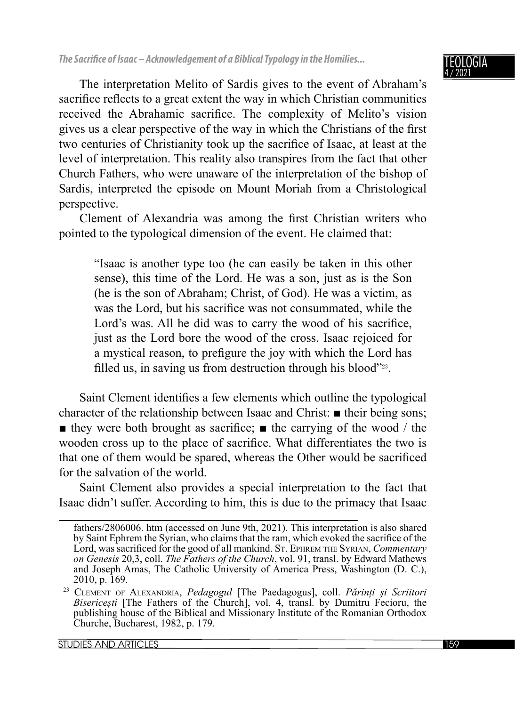OGIA 4 / 2021

The interpretation Melito of Sardis gives to the event of Abraham's sacrifice reflects to a great extent the way in which Christian communities received the Abrahamic sacrifice. The complexity of Melito's vision gives us a clear perspective of the way in which the Christians of the first two centuries of Christianity took up the sacrifice of Isaac, at least at the level of interpretation. This reality also transpires from the fact that other Church Fathers, who were unaware of the interpretation of the bishop of Sardis, interpreted the episode on Mount Moriah from a Christological perspective.

Clement of Alexandria was among the first Christian writers who pointed to the typological dimension of the event. He claimed that:

"Isaac is another type too (he can easily be taken in this other sense), this time of the Lord. He was a son, just as is the Son (he is the son of Abraham; Christ, of God). He was a victim, as was the Lord, but his sacrifice was not consummated, while the Lord's was. All he did was to carry the wood of his sacrifice, just as the Lord bore the wood of the cross. Isaac rejoiced for a mystical reason, to prefigure the joy with which the Lord has filled us, in saving us from destruction through his blood"<sup>223</sup>.

Saint Clement identifies a few elements which outline the typological character of the relationship between Isaac and Christ: ■ their being sons;  $\blacksquare$  they were both brought as sacrifice;  $\blacksquare$  the carrying of the wood / the wooden cross up to the place of sacrifice. What differentiates the two is that one of them would be spared, whereas the Other would be sacrificed for the salvation of the world.

Saint Clement also provides a special interpretation to the fact that Isaac didn't suffer. According to him, this is due to the primacy that Isaac

fathers/2806006. htm (accessed on June 9th, 2021). This interpretation is also shared by Saint Ephrem the Syrian, who claims that the ram, which evoked the sacrifice of the Lord, was sacrificed for the good of all mankind. ST. EPHREM THE SYRIAN, *Commentary on Genesis* 20,3, coll. *The Fathers of the Church*, vol. 91, transl. by Edward Mathews and Joseph Amas, The Catholic University of America Press, Washington (D. C.),

<sup>2010,</sup> p. 169. 23 CLEMENT OF ALEXANDRIA, *Pedagogul* [The Paedagogus], coll. *Părinți și Scriitori Bisericești* [The Fathers of the Church], vol. 4, transl. by Dumitru Fecioru, the publishing house of the Biblical and Missionary Institute of the Romanian Orthodox Churche, Bucharest, 1982, p. 179.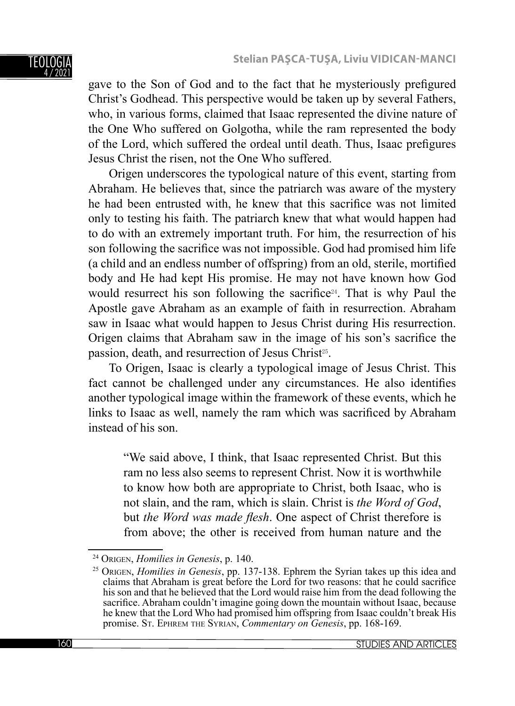### TEOLOGI 4 / 2021

gave to the Son of God and to the fact that he mysteriously prefigured Christ's Godhead. This perspective would be taken up by several Fathers, who, in various forms, claimed that Isaac represented the divine nature of the One Who suffered on Golgotha, while the ram represented the body of the Lord, which suffered the ordeal until death. Thus, Isaac prefigures Jesus Christ the risen, not the One Who suffered.

Origen underscores the typological nature of this event, starting from Abraham. He believes that, since the patriarch was aware of the mystery he had been entrusted with, he knew that this sacrifice was not limited only to testing his faith. The patriarch knew that what would happen had to do with an extremely important truth. For him, the resurrection of his son following the sacrifice was not impossible. God had promised him life (a child and an endless number of offspring) from an old, sterile, mortified body and He had kept His promise. He may not have known how God would resurrect his son following the sacrifice<sup>24</sup>. That is why Paul the Apostle gave Abraham as an example of faith in resurrection. Abraham saw in Isaac what would happen to Jesus Christ during His resurrection. Origen claims that Abraham saw in the image of his son's sacrifice the passion, death, and resurrection of Jesus Christ<sup>25</sup>.

To Origen, Isaac is clearly a typological image of Jesus Christ. This fact cannot be challenged under any circumstances. He also identifies another typological image within the framework of these events, which he links to Isaac as well, namely the ram which was sacrificed by Abraham instead of his son.

"We said above, I think, that Isaac represented Christ. But this ram no less also seems to represent Christ. Now it is worthwhile to know how both are appropriate to Christ, both Isaac, who is not slain, and the ram, which is slain. Christ is *the Word of God*, but *the Word was made flesh*. One aspect of Christ therefore is from above; the other is received from human nature and the

<sup>&</sup>lt;sup>24</sup> Origen, *Homilies in Genesis*, p. 140.<br><sup>25</sup> Origen, *Homilies in Genesis*, pp. 137-138. Ephrem the Syrian takes up this idea and claims that Abraham is great before the Lord for two reasons: that he could sacrifice his son and that he believed that the Lord would raise him from the dead following the sacrifice. Abraham couldn't imagine going down the mountain without Isaac, because he knew that the Lord Who had promised him offspring from Isaac couldn't break His promise. ST. EPHREM THE SYRIAN, *Commentary on Genesis*, pp. 168-169.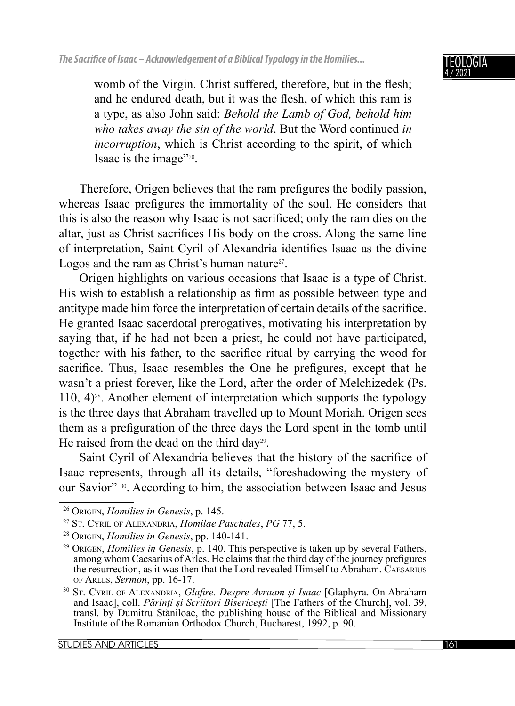

womb of the Virgin. Christ suffered, therefore, but in the flesh; and he endured death, but it was the flesh, of which this ram is a type, as also John said: *Behold the Lamb of God, behold him who takes away the sin of the world*. But the Word continued *in incorruption*, which is Christ according to the spirit, of which Isaac is the image"26.

Therefore, Origen believes that the ram prefigures the bodily passion, whereas Isaac prefigures the immortality of the soul. He considers that this is also the reason why Isaac is not sacrificed; only the ram dies on the altar, just as Christ sacrifices His body on the cross. Along the same line of interpretation, Saint Cyril of Alexandria identifies Isaac as the divine Logos and the ram as Christ's human nature<sup>27</sup>.

Origen highlights on various occasions that Isaac is a type of Christ. His wish to establish a relationship as firm as possible between type and antitype made him force the interpretation of certain details of the sacrifice. He granted Isaac sacerdotal prerogatives, motivating his interpretation by saying that, if he had not been a priest, he could not have participated, together with his father, to the sacrifice ritual by carrying the wood for sacrifice. Thus, Isaac resembles the One he prefigures, except that he wasn't a priest forever, like the Lord, after the order of Melchizedek (Ps. 110,  $4$ )<sup>28</sup>. Another element of interpretation which supports the typology is the three days that Abraham travelled up to Mount Moriah. Origen sees them as a prefiguration of the three days the Lord spent in the tomb until He raised from the dead on the third day29.

Saint Cyril of Alexandria believes that the history of the sacrifice of Isaac represents, through all its details, "foreshadowing the mystery of our Savior" 30. According to him, the association between Isaac and Jesus

<sup>&</sup>lt;sup>26</sup> Origen, *Homilies in Genesis*, p. 145.<br><sup>27</sup> ST. CYRIL OF ALEXANDRIA, *Homilae Paschales*, *PG* 77, 5.<br><sup>28</sup> Origen, *Homilies in Genesis*, pp. 140-141.<br><sup>29</sup> Origen, *Homilies in Genesis*, p. 140. This perspective is t among whom Caesarius of Arles. He claims that the third day of the journey prefigures the resurrection, as it was then that the Lord revealed Himself to Abraham. CAESARIUS OF ARLES, Sermon, pp. 16-17.

<sup>&</sup>lt;sup>30</sup> St. CYRIL OF ALEXANDRIA, *Glafire. Despre Avraam și Isaac* [Glaphyra. On Abraham and Isaac], coll. *Părinți și Scriitori Bisericești* [The Fathers of the Church], vol. 39, transl. by Dumitru Stăniloae, the publishing house of the Biblical and Missionary Institute of the Romanian Orthodox Church, Bucharest, 1992, p. 90.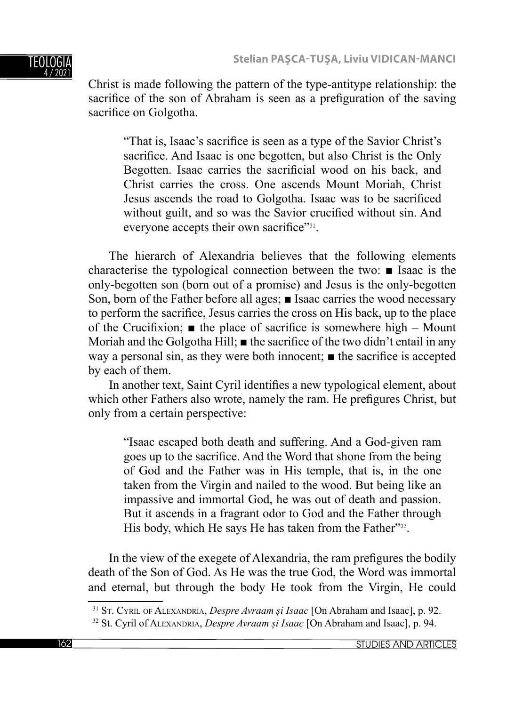

Christ is made following the pattern of the type-antitype relationship: the sacrifice of the son of Abraham is seen as a prefiguration of the saving sacrifice on Golgotha.

"That is, Isaac's sacrifice is seen as a type of the Savior Christ's sacrifice. And Isaac is one begotten, but also Christ is the Only Begotten. Isaac carries the sacrificial wood on his back, and Christ carries the cross. One ascends Mount Moriah, Christ Jesus ascends the road to Golgotha. Isaac was to be sacrificed without guilt, and so was the Savior crucified without sin. And everyone accepts their own sacrifice" $31$ .

The hierarch of Alexandria believes that the following elements characterise the typological connection between the two: ■ Isaac is the only-begotten son (born out of a promise) and Jesus is the only-begotten Son, born of the Father before all ages; ■ Isaac carries the wood necessary to perform the sacrifice, Jesus carries the cross on His back, up to the place of the Crucifixion;  $\blacksquare$  the place of sacrifice is somewhere high – Mount Moriah and the Golgotha Hill;  $\blacksquare$  the sacrifice of the two didn't entail in any way a personal sin, as they were both innocent;  $\blacksquare$  the sacrifice is accepted by each of them.

In another text, Saint Cyril identifies a new typological element, about which other Fathers also wrote, namely the ram. He prefigures Christ, but only from a certain perspective:

"Isaac escaped both death and suffering. And a God-given ram goes up to the sacrifice. And the Word that shone from the being of God and the Father was in His temple, that is, in the one taken from the Virgin and nailed to the wood. But being like an impassive and immortal God, he was out of death and passion. But it ascends in a fragrant odor to God and the Father through His body, which He says He has taken from the Father"<sup>32</sup>.

In the view of the exegete of Alexandria, the ram prefigures the bodily death of the Son of God. As He was the true God, the Word was immortal and eternal, but through the body He took from the Virgin, He could

<sup>31</sup> ST. CYRIL OF ALEXANDRIA, *Despre Avraam și Isaac* [On Abraham and Isaac], p. 92. 32 St. Cyril of ALEXANDRIA, *Despre Avraam și Isaac* [On Abraham and Isaac], p. 94.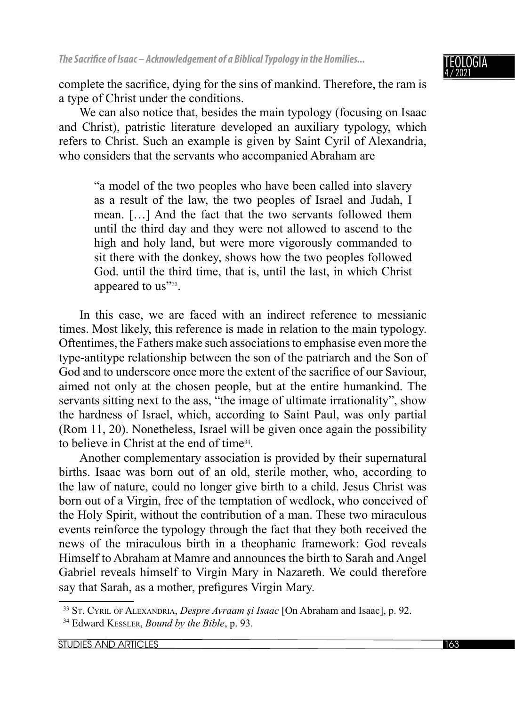

complete the sacrifice, dying for the sins of mankind. Therefore, the ram is a type of Christ under the conditions.

We can also notice that, besides the main typology (focusing on Isaac and Christ), patristic literature developed an auxiliary typology, which refers to Christ. Such an example is given by Saint Cyril of Alexandria, who considers that the servants who accompanied Abraham are

"a model of the two peoples who have been called into slavery as a result of the law, the two peoples of Israel and Judah, I mean. […] And the fact that the two servants followed them until the third day and they were not allowed to ascend to the high and holy land, but were more vigorously commanded to sit there with the donkey, shows how the two peoples followed God. until the third time, that is, until the last, in which Christ appeared to us"<sup>33</sup>.

In this case, we are faced with an indirect reference to messianic times. Most likely, this reference is made in relation to the main typology. Oftentimes, the Fathers make such associations to emphasise even more the type-antitype relationship between the son of the patriarch and the Son of God and to underscore once more the extent of the sacrifice of our Saviour, aimed not only at the chosen people, but at the entire humankind. The servants sitting next to the ass, "the image of ultimate irrationality", show the hardness of Israel, which, according to Saint Paul, was only partial (Rom 11, 20). Nonetheless, Israel will be given once again the possibility to believe in Christ at the end of time34.

Another complementary association is provided by their supernatural births. Isaac was born out of an old, sterile mother, who, according to the law of nature, could no longer give birth to a child. Jesus Christ was born out of a Virgin, free of the temptation of wedlock, who conceived of the Holy Spirit, without the contribution of a man. These two miraculous events reinforce the typology through the fact that they both received the news of the miraculous birth in a theophanic framework: God reveals Himself to Abraham at Mamre and announces the birth to Sarah and Angel Gabriel reveals himself to Virgin Mary in Nazareth. We could therefore say that Sarah, as a mother, prefigures Virgin Mary.

<sup>33</sup> ST. CYRIL OF ALEXANDRIA, *Despre Avraam și Isaac* [On Abraham and Isaac], p. 92. 34 Edward KESSLER, *Bound by the Bible*, p. 93.